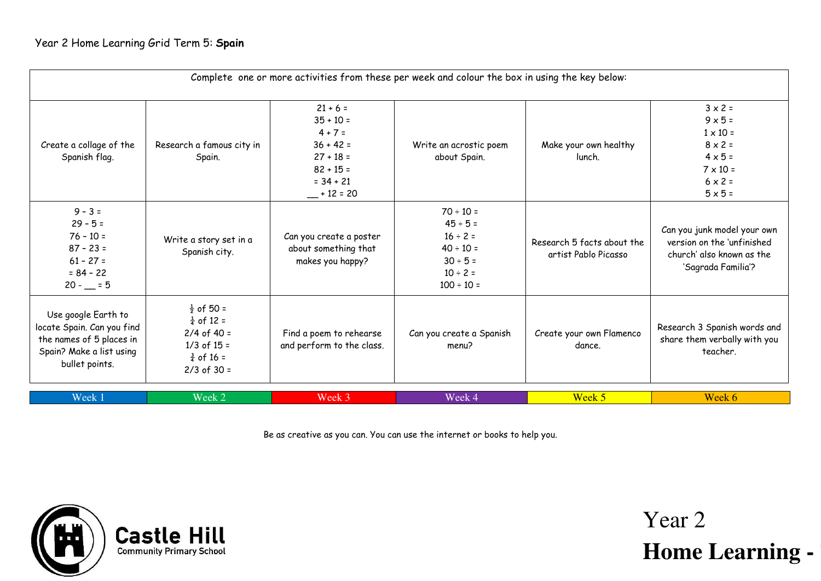| Complete one or more activities from these per week and colour the box in using the key below:                              |                                                                                                                              |                                                                                                                  |                                                                                                                      |                                                    |                                                                                                                                                |
|-----------------------------------------------------------------------------------------------------------------------------|------------------------------------------------------------------------------------------------------------------------------|------------------------------------------------------------------------------------------------------------------|----------------------------------------------------------------------------------------------------------------------|----------------------------------------------------|------------------------------------------------------------------------------------------------------------------------------------------------|
| Create a collage of the<br>Spanish flag.                                                                                    | Research a famous city in<br>Spain.                                                                                          | $21 + 6 =$<br>$35 + 10 =$<br>$4 + 7 =$<br>$36 + 42 =$<br>$27 + 18 =$<br>$82 + 15 =$<br>$= 34 + 21$<br>$+12 = 20$ | Write an acrostic poem<br>about Spain.                                                                               | Make your own healthy<br>lunch.                    | $3 \times 2 =$<br>$9 \times 5 =$<br>$1 \times 10 =$<br>$8 \times 2 =$<br>$4 \times 5 =$<br>$7 \times 10 =$<br>$6 \times 2 =$<br>$5 \times 5 =$ |
| $9 - 3 =$<br>$29 - 5 =$<br>$76 - 10 =$<br>$87 - 23 =$<br>$61 - 27 =$<br>$= 84 - 22$<br>$20 - 5$                             | Write a story set in a<br>Spanish city.                                                                                      | Can you create a poster<br>about something that<br>makes you happy?                                              | $70 \div 10 =$<br>$45 \div 5 =$<br>$16 \div 2 =$<br>$40 \div 10 =$<br>$30 ÷ 5 =$<br>$10 \div 2 =$<br>$100 \div 10 =$ | Research 5 facts about the<br>artist Pablo Picasso | Can you junk model your own<br>version on the 'unfinished<br>church' also known as the<br>'Sagrada Familia'?                                   |
| Use google Earth to<br>locate Spain. Can you find<br>the names of 5 places in<br>Spain? Make a list using<br>bullet points. | $\frac{1}{2}$ of 50 =<br>$\frac{1}{4}$ of 12 =<br>$2/4$ of 40 =<br>$1/3$ of $15 =$<br>$\frac{3}{4}$ of 16 =<br>$2/3$ of 30 = | Find a poem to rehearse<br>and perform to the class.                                                             | Can you create a Spanish<br>menu?                                                                                    | Create your own Flamenco<br>dance.                 | Research 3 Spanish words and<br>share them verbally with you<br>teacher.                                                                       |
| Week 1                                                                                                                      | Week 2                                                                                                                       | Week 3                                                                                                           | Week 4                                                                                                               | Week 5                                             | Week 6                                                                                                                                         |

Be as creative as you can. You can use the internet or books to help you.

Year 2

**Home Learning -**